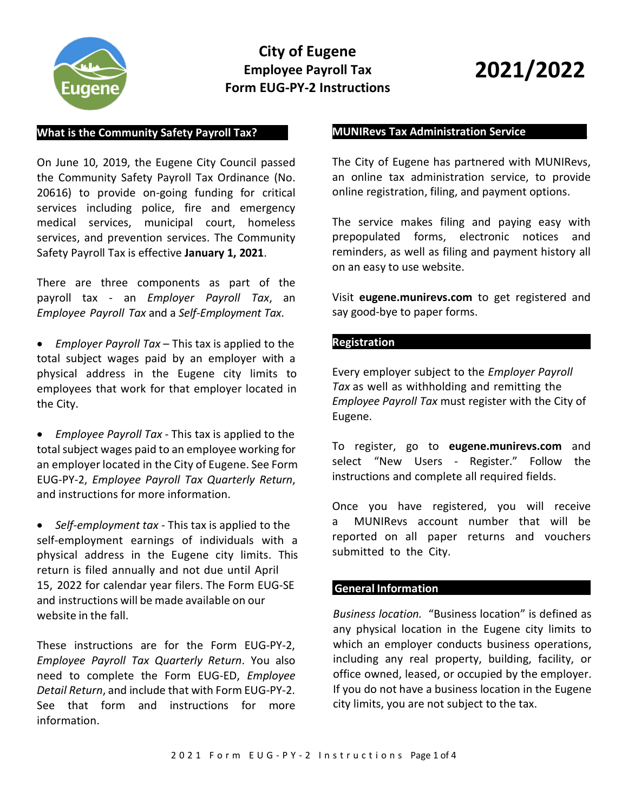

# **City of Eugene Employee Payroll Tax Form EUG-PY-2 Instructions**

# **2021/2022**

# **What is the Community Safety Payroll Tax?\_\_\_\_\_**

On June 10, 2019, the Eugene City Council passed the Community Safety Payroll Tax Ordinance (No. 20616) to provide on-going funding for critical services including police, fire and emergency medical services, municipal court, homeless services, and prevention services. The Community Safety Payroll Tax is effective **January 1, 2021**.

There are three components as part of the payroll tax - an *Employer Payroll Tax*, an *Employee Payroll Tax* and a *Self-Employment Tax*.

• *Employer Payroll Tax* – This tax is applied to the total subject wages paid by an employer with a physical address in the Eugene city limits to employees that work for that employer located in the City.

• *Employee Payroll Tax* - This tax is applied to the total subject wages paid to an employee working for an employer located in the City of Eugene. See Form EUG-PY-2, *Employee Payroll Tax Quarterly Return*, and instructions for more information.

• *Self-employment tax* - This tax is applied to the self-employment earnings of individuals with a physical address in the Eugene city limits. This return is filed annually and not due until April 15, 2022 for calendar year filers. The Form EUG-SE and instructions will be made available on our website in the fall.

These instructions are for the Form EUG-PY-2, *Employee Payroll Tax Quarterly Return*. You also need to complete the Form EUG-ED, *Employee Detail Return*, and include that with Form EUG-PY-2. See that form and instructions for more information.

#### **MUNIRevs Tax Administration Service\_\_\_\_\_\_\_\_\_\_**

The City of Eugene has partnered with MUNIRevs, an online tax administration service, to provide online registration, filing, and payment options.

The service makes filing and paying easy with prepopulated forms, electronic notices and reminders, as well as filing and payment history all on an easy to use website.

Visit **eugene.munirevs.com** to get registered and say good-bye to paper forms.

#### **Registration**\_\_\_\_\_\_\_\_\_\_\_\_\_\_\_\_\_\_\_\_\_\_\_\_\_\_\_\_\_\_\_

Every employer subject to the *Employer Payroll Tax* as well as withholding and remitting the *Employee Payroll Tax* must register with the City of Eugene.

To register, go to **eugene.munirevs.com** and select "New Users - Register." Follow the instructions and complete all required fields.

Once you have registered, you will receive a MUNIRevs account number that will be reported on all paper returns and vouchers submitted to the City.

# **General Information \_\_\_\_\_\_\_\_\_**

*Business location.* "Business location" is defined as any physical location in the Eugene city limits to which an employer conducts business operations, including any real property, building, facility, or office owned, leased, or occupied by the employer. If you do not have a business location in the Eugene city limits, you are not subject to the tax.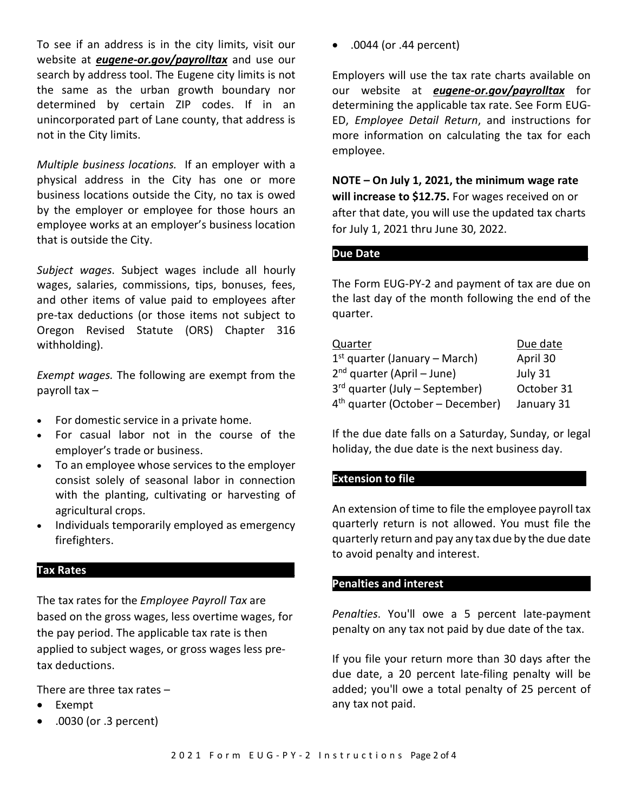To see if an address is in the city limits, visit our website at *eugene-or.gov/payrolltax* and use our search by address tool. The Eugene city limits is not the same as the urban growth boundary nor determined by certain ZIP codes. If in an unincorporated part of Lane county, that address is not in the City limits.

*Multiple business locations.* If an employer with a physical address in the City has one or more business locations outside the City, no tax is owed by the employer or employee for those hours an employee works at an employer's business location that is outside the City.

*Subject wages*. Subject wages include all hourly wages, salaries, commissions, tips, bonuses, fees, and other items of value paid to employees after pre-tax deductions (or those items not subject to Oregon Revised Statute (ORS) Chapter 316 withholding).

*Exempt wages.* The following are exempt from the payroll tax –

- For domestic service in a private home.
- For casual labor not in the course of the employer's trade or business.
- To an employee whose services to the employer consist solely of seasonal labor in connection with the planting, cultivating or harvesting of agricultural crops.
- Individuals temporarily employed as emergency firefighters.

#### **Tax Rates\_\_\_**\_\_\_\_\_\_\_\_\_\_\_\_\_\_\_\_\_\_\_\_\_\_\_\_\_\_\_\_\_\_\_

The tax rates for the *Employee Payroll Tax* are based on the gross wages, less overtime wages, for the pay period. The applicable tax rate is then applied to subject wages, or gross wages less pretax deductions.

There are three tax rates –

- **Exempt**
- .0030 (or .3 percent)

• .0044 (or .44 percent)

Employers will use the tax rate charts available on our website at *eugene-or.gov/payrolltax* for determining the applicable tax rate. See Form EUG-ED, *Employee Detail Return*, and instructions for more information on calculating the tax for each employee.

**NOTE – On July 1, 2021, the minimum wage rate will increase to \$12.75.** For wages received on or after that date, you will use the updated tax charts for July 1, 2021 thru June 30, 2022.

#### **Due Date\_\_\_\_\_\_\_\_\_\_\_\_\_\_\_\_\_\_\_\_\_\_\_\_\_\_\_\_\_\_\_\_\_\_**

The Form EUG-PY-2 and payment of tax are due on the last day of the month following the end of the quarter.

| Quarter                            | Due date   |
|------------------------------------|------------|
| $1st$ quarter (January – March)    | April 30   |
| $2nd$ quarter (April – June)       | July 31    |
| $3rd$ quarter (July – September)   | October 31 |
| $4th$ quarter (October – December) | January 31 |

If the due date falls on a Saturday, Sunday, or legal holiday, the due date is the next business day.

# **Extension to file**

An extension of time to file the employee payroll tax quarterly return is not allowed. You must file the quarterly return and pay any tax due by the due date to avoid penalty and interest.

#### **Penalties and interest\_\_\_\_\_\_\_\_\_\_\_\_\_\_\_\_\_\_\_\_\_\_\_\_**

*Penalties*. You'll owe a 5 percent late-payment penalty on any tax not paid by due date of the tax.

If you file your return more than 30 days after the due date, a 20 percent late-filing penalty will be added; you'll owe a total penalty of 25 percent of any tax not paid.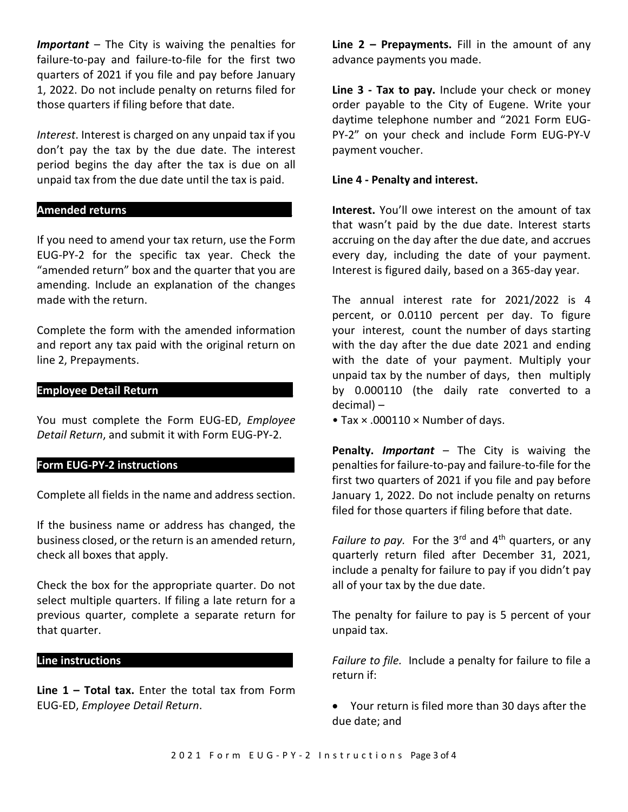*Important* – The City is waiving the penalties for failure-to-pay and failure-to-file for the first two quarters of 2021 if you file and pay before January 1, 2022. Do not include penalty on returns filed for those quarters if filing before that date.

*Interest*. Interest is charged on any unpaid tax if you don't pay the tax by the due date. The interest period begins the day after the tax is due on all unpaid tax from the due date until the tax is paid.

#### **Amended returns\_\_\_\_\_\_\_\_\_\_\_\_\_\_\_\_\_\_\_\_\_\_\_\_\_\_\_**

If you need to amend your tax return, use the Form EUG-PY-2 for the specific tax year. Check the "amended return" box and the quarter that you are amending. Include an explanation of the changes made with the return.

Complete the form with the amended information and report any tax paid with the original return on line 2, Prepayments.

#### **Employee Detail Return**\_\_\_\_\_\_\_\_\_\_\_\_\_\_\_\_\_\_\_\_\_\_

You must complete the Form EUG-ED, *Employee Detail Return*, and submit it with Form EUG-PY-2.

### **Form EUG-PY-2 instructions\_\_\_\_\_\_\_\_\_\_\_\_\_\_\_\_\_\_\_**

Complete all fields in the name and address section.

If the business name or address has changed, the business closed, or the return is an amended return, check all boxes that apply.

Check the box for the appropriate quarter. Do not select multiple quarters. If filing a late return for a previous quarter, complete a separate return for that quarter.

## **Line instructions\_\_\_\_\_\_\_\_\_\_\_\_\_\_\_\_\_\_\_\_\_\_\_\_\_\_\_\_**

**Line 1 – Total tax.** Enter the total tax from Form EUG-ED, *Employee Detail Return*.

**Line 2 – Prepayments.** Fill in the amount of any advance payments you made.

**Line 3 - Tax to pay.** Include your check or money order payable to the City of Eugene. Write your daytime telephone number and "2021 Form EUG-PY-2" on your check and include Form EUG-PY-V payment voucher.

#### **Line 4 - Penalty and interest.**

**Interest.** You'll owe interest on the amount of tax that wasn't paid by the due date. Interest starts accruing on the day after the due date, and accrues every day, including the date of your payment. Interest is figured daily, based on a 365-day year.

The annual interest rate for 2021/2022 is 4 percent, or 0.0110 percent per day. To figure your interest, count the number of days starting with the day after the due date 2021 and ending with the date of your payment. Multiply your unpaid tax by the number of days, then multiply by 0.000110 (the daily rate converted to a decimal) –

• Tax × .000110 × Number of days.

**Penalty.** *Important* – The City is waiving the penalties for failure-to-pay and failure-to-file for the first two quarters of 2021 if you file and pay before January 1, 2022. Do not include penalty on returns filed for those quarters if filing before that date.

Failure to pay. For the 3<sup>rd</sup> and 4<sup>th</sup> quarters, or any quarterly return filed after December 31, 2021, include a penalty for failure to pay if you didn't pay all of your tax by the due date.

The penalty for failure to pay is 5 percent of your unpaid tax.

*Failure to file.* Include a penalty for failure to file a return if:

• Your return is filed more than 30 days after the due date; and